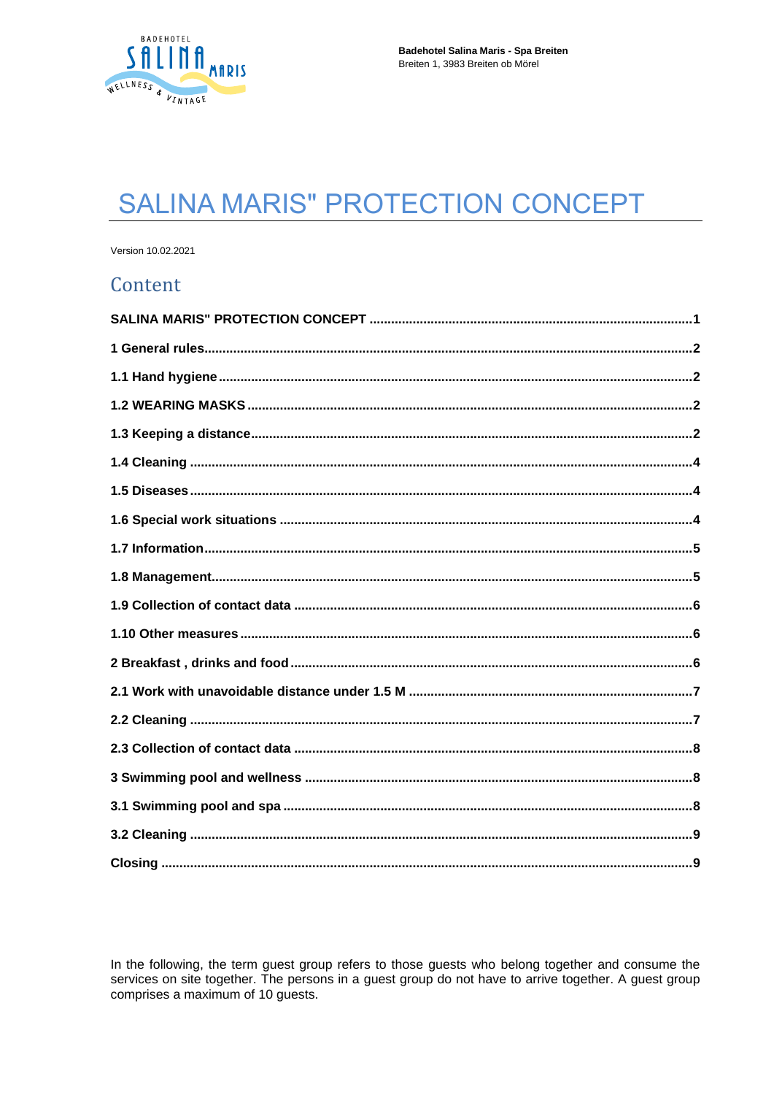

# <span id="page-0-0"></span>**SALINA MARIS" PROTECTION CONCEPT**

Version 10.02.2021

## Content

In the following, the term guest group refers to those guests who belong together and consume the services on site together. The persons in a guest group do not have to arrive together. A guest group comprises a maximum of 10 guests.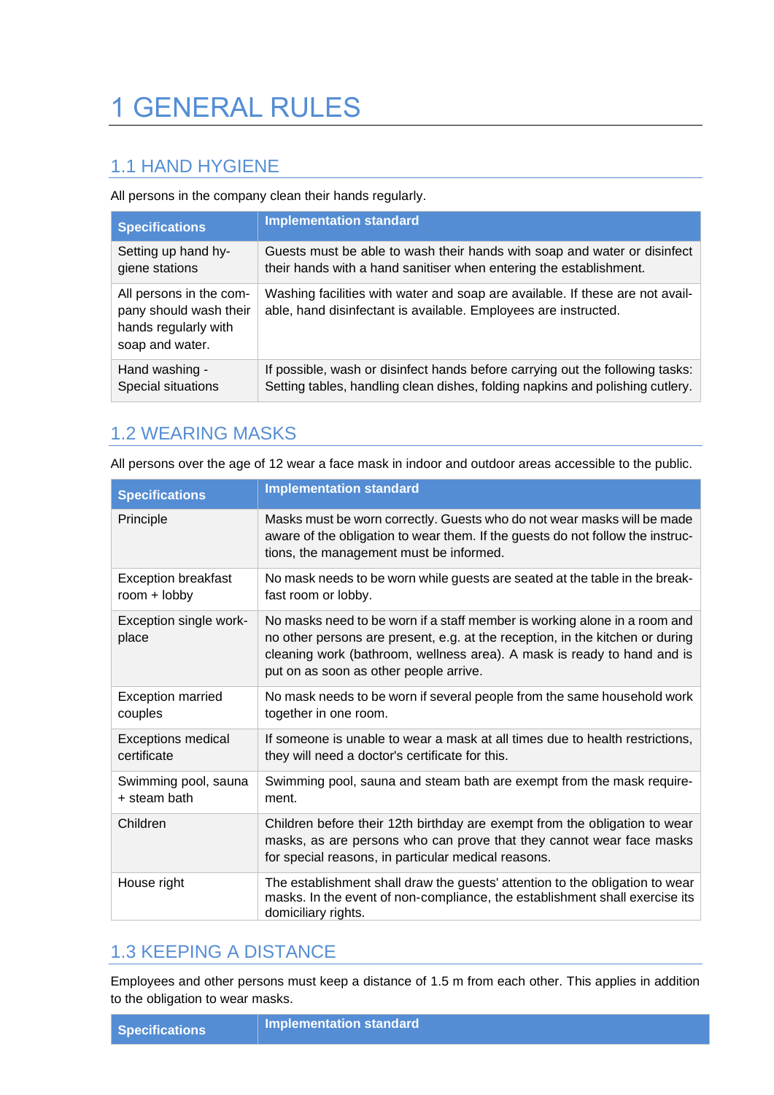# <span id="page-1-0"></span>1 GENERAL RULES

#### <span id="page-1-1"></span>1.1 HAND HYGIENE

All persons in the company clean their hands regularly.

| <b>Specifications</b>                                                                        | <b>Implementation standard</b>                                                                                                                   |
|----------------------------------------------------------------------------------------------|--------------------------------------------------------------------------------------------------------------------------------------------------|
| Setting up hand hy-                                                                          | Guests must be able to wash their hands with soap and water or disinfect                                                                         |
| giene stations                                                                               | their hands with a hand sanitiser when entering the establishment.                                                                               |
| All persons in the com-<br>pany should wash their<br>hands regularly with<br>soap and water. | Washing facilities with water and soap are available. If these are not avail-<br>able, hand disinfectant is available. Employees are instructed. |
| Hand washing -                                                                               | If possible, wash or disinfect hands before carrying out the following tasks:                                                                    |
| Special situations                                                                           | Setting tables, handling clean dishes, folding napkins and polishing cutlery.                                                                    |

#### <span id="page-1-2"></span>1.2 WEARING MASKS

All persons over the age of 12 wear a face mask in indoor and outdoor areas accessible to the public.

| <b>Specifications</b>                        | <b>Implementation standard</b>                                                                                                                                                                                                                                                  |
|----------------------------------------------|---------------------------------------------------------------------------------------------------------------------------------------------------------------------------------------------------------------------------------------------------------------------------------|
| Principle                                    | Masks must be worn correctly. Guests who do not wear masks will be made<br>aware of the obligation to wear them. If the guests do not follow the instruc-<br>tions, the management must be informed.                                                                            |
| <b>Exception breakfast</b><br>room $+$ lobby | No mask needs to be worn while guests are seated at the table in the break-<br>fast room or lobby.                                                                                                                                                                              |
| Exception single work-<br>place              | No masks need to be worn if a staff member is working alone in a room and<br>no other persons are present, e.g. at the reception, in the kitchen or during<br>cleaning work (bathroom, wellness area). A mask is ready to hand and is<br>put on as soon as other people arrive. |
| <b>Exception married</b><br>couples          | No mask needs to be worn if several people from the same household work<br>together in one room.                                                                                                                                                                                |
| <b>Exceptions medical</b><br>certificate     | If someone is unable to wear a mask at all times due to health restrictions,<br>they will need a doctor's certificate for this.                                                                                                                                                 |
| Swimming pool, sauna<br>+ steam bath         | Swimming pool, sauna and steam bath are exempt from the mask require-<br>ment.                                                                                                                                                                                                  |
| Children                                     | Children before their 12th birthday are exempt from the obligation to wear<br>masks, as are persons who can prove that they cannot wear face masks<br>for special reasons, in particular medical reasons.                                                                       |
| House right                                  | The establishment shall draw the guests' attention to the obligation to wear<br>masks. In the event of non-compliance, the establishment shall exercise its<br>domiciliary rights.                                                                                              |

#### <span id="page-1-3"></span>1.3 KEEPING A DISTANCE

Employees and other persons must keep a distance of 1.5 m from each other. This applies in addition to the obligation to wear masks.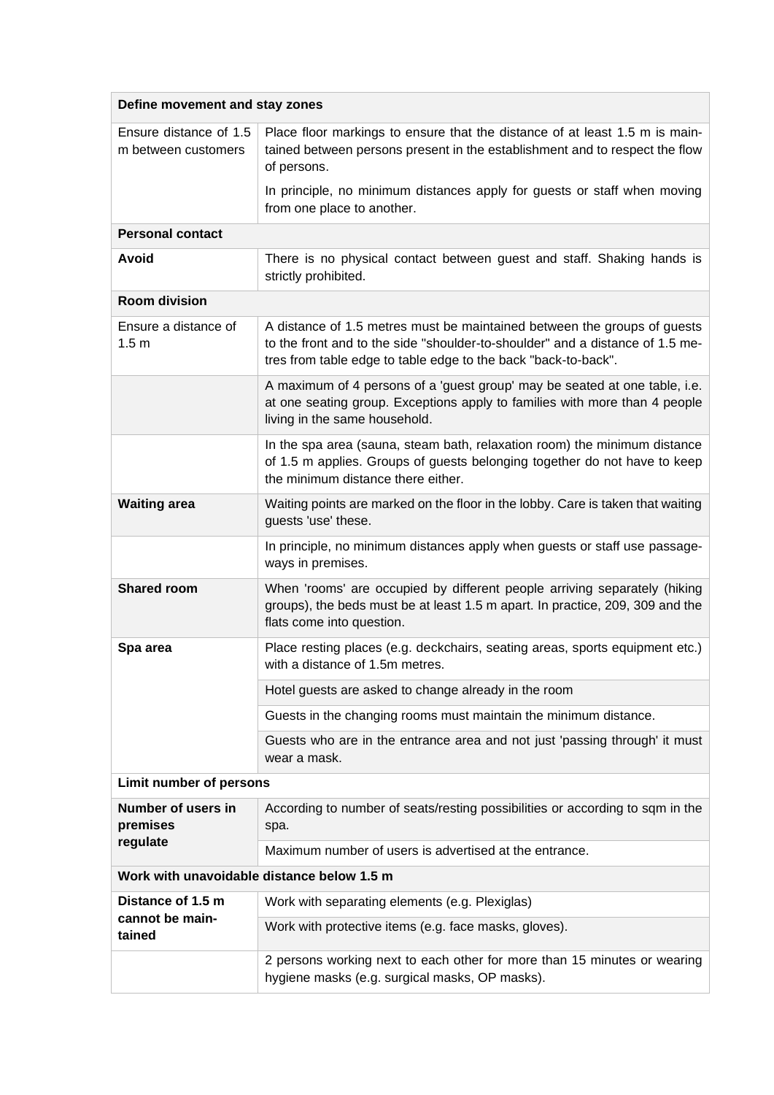| Define movement and stay zones                |                                                                                                                                                                                                                             |
|-----------------------------------------------|-----------------------------------------------------------------------------------------------------------------------------------------------------------------------------------------------------------------------------|
| Ensure distance of 1.5<br>m between customers | Place floor markings to ensure that the distance of at least 1.5 m is main-<br>tained between persons present in the establishment and to respect the flow<br>of persons.                                                   |
|                                               | In principle, no minimum distances apply for guests or staff when moving<br>from one place to another.                                                                                                                      |
| <b>Personal contact</b>                       |                                                                                                                                                                                                                             |
| Avoid                                         | There is no physical contact between guest and staff. Shaking hands is<br>strictly prohibited.                                                                                                                              |
| <b>Room division</b>                          |                                                                                                                                                                                                                             |
| Ensure a distance of<br>1.5 <sub>m</sub>      | A distance of 1.5 metres must be maintained between the groups of guests<br>to the front and to the side "shoulder-to-shoulder" and a distance of 1.5 me-<br>tres from table edge to table edge to the back "back-to-back". |
|                                               | A maximum of 4 persons of a 'guest group' may be seated at one table, i.e.<br>at one seating group. Exceptions apply to families with more than 4 people<br>living in the same household.                                   |
|                                               | In the spa area (sauna, steam bath, relaxation room) the minimum distance<br>of 1.5 m applies. Groups of guests belonging together do not have to keep<br>the minimum distance there either.                                |
| <b>Waiting area</b>                           | Waiting points are marked on the floor in the lobby. Care is taken that waiting<br>guests 'use' these.                                                                                                                      |
|                                               | In principle, no minimum distances apply when guests or staff use passage-<br>ways in premises.                                                                                                                             |
| <b>Shared room</b>                            | When 'rooms' are occupied by different people arriving separately (hiking<br>groups), the beds must be at least 1.5 m apart. In practice, 209, 309 and the<br>flats come into question.                                     |
| Spa area                                      | Place resting places (e.g. deckchairs, seating areas, sports equipment etc.)<br>with a distance of 1.5m metres.                                                                                                             |
|                                               | Hotel guests are asked to change already in the room                                                                                                                                                                        |
|                                               | Guests in the changing rooms must maintain the minimum distance.                                                                                                                                                            |
|                                               | Guests who are in the entrance area and not just 'passing through' it must<br>wear a mask.                                                                                                                                  |
| Limit number of persons                       |                                                                                                                                                                                                                             |
| Number of users in<br>premises                | According to number of seats/resting possibilities or according to sqm in the<br>spa.                                                                                                                                       |
| regulate                                      | Maximum number of users is advertised at the entrance.                                                                                                                                                                      |
| Work with unavoidable distance below 1.5 m    |                                                                                                                                                                                                                             |
| Distance of 1.5 m<br>cannot be main-          | Work with separating elements (e.g. Plexiglas)                                                                                                                                                                              |
| tained                                        | Work with protective items (e.g. face masks, gloves).                                                                                                                                                                       |
|                                               | 2 persons working next to each other for more than 15 minutes or wearing<br>hygiene masks (e.g. surgical masks, OP masks).                                                                                                  |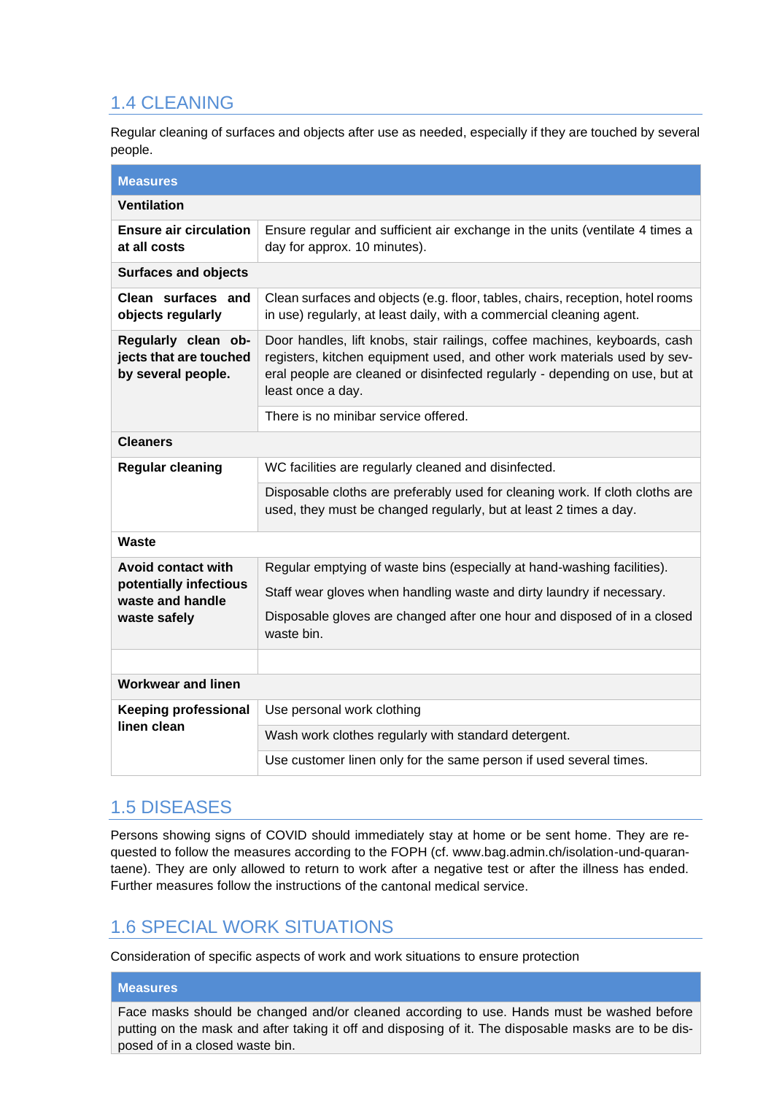## <span id="page-3-0"></span>1.4 CLEANING

Regular cleaning of surfaces and objects after use as needed, especially if they are touched by several people.

| <b>Measures</b>                                                     |                                                                                                                                                                                                                                                            |  |
|---------------------------------------------------------------------|------------------------------------------------------------------------------------------------------------------------------------------------------------------------------------------------------------------------------------------------------------|--|
| <b>Ventilation</b>                                                  |                                                                                                                                                                                                                                                            |  |
| <b>Ensure air circulation</b><br>at all costs                       | Ensure regular and sufficient air exchange in the units (ventilate 4 times a<br>day for approx. 10 minutes).                                                                                                                                               |  |
| <b>Surfaces and objects</b>                                         |                                                                                                                                                                                                                                                            |  |
| Clean surfaces and<br>objects regularly                             | Clean surfaces and objects (e.g. floor, tables, chairs, reception, hotel rooms<br>in use) regularly, at least daily, with a commercial cleaning agent.                                                                                                     |  |
| Regularly clean ob-<br>jects that are touched<br>by several people. | Door handles, lift knobs, stair railings, coffee machines, keyboards, cash<br>registers, kitchen equipment used, and other work materials used by sev-<br>eral people are cleaned or disinfected regularly - depending on use, but at<br>least once a day. |  |
|                                                                     | There is no minibar service offered.                                                                                                                                                                                                                       |  |
| <b>Cleaners</b>                                                     |                                                                                                                                                                                                                                                            |  |
| <b>Regular cleaning</b>                                             | WC facilities are regularly cleaned and disinfected.                                                                                                                                                                                                       |  |
|                                                                     | Disposable cloths are preferably used for cleaning work. If cloth cloths are<br>used, they must be changed regularly, but at least 2 times a day.                                                                                                          |  |
| <b>Waste</b>                                                        |                                                                                                                                                                                                                                                            |  |
| <b>Avoid contact with</b>                                           | Regular emptying of waste bins (especially at hand-washing facilities).                                                                                                                                                                                    |  |
| potentially infectious<br>waste and handle<br>waste safely          | Staff wear gloves when handling waste and dirty laundry if necessary.                                                                                                                                                                                      |  |
|                                                                     | Disposable gloves are changed after one hour and disposed of in a closed<br>waste bin.                                                                                                                                                                     |  |
|                                                                     |                                                                                                                                                                                                                                                            |  |
| <b>Workwear and linen</b>                                           |                                                                                                                                                                                                                                                            |  |
| <b>Keeping professional</b>                                         | Use personal work clothing                                                                                                                                                                                                                                 |  |
| linen clean                                                         | Wash work clothes regularly with standard detergent.                                                                                                                                                                                                       |  |
|                                                                     | Use customer linen only for the same person if used several times.                                                                                                                                                                                         |  |

#### <span id="page-3-1"></span>1.5 DISEASES

Persons showing signs of COVID should immediately stay at home or be sent home. They are requested to follow the measures according to the FOPH (cf. www.bag.admin.ch/isolation-und-quarantaene). They are only allowed to return to work after a negative test or after the illness has ended. Further measures follow the instructions of the cantonal medical service.

## <span id="page-3-2"></span>1.6 SPECIAL WORK SITUATIONS

Consideration of specific aspects of work and work situations to ensure protection

#### **Measures**

Face masks should be changed and/or cleaned according to use. Hands must be washed before putting on the mask and after taking it off and disposing of it. The disposable masks are to be disposed of in a closed waste bin.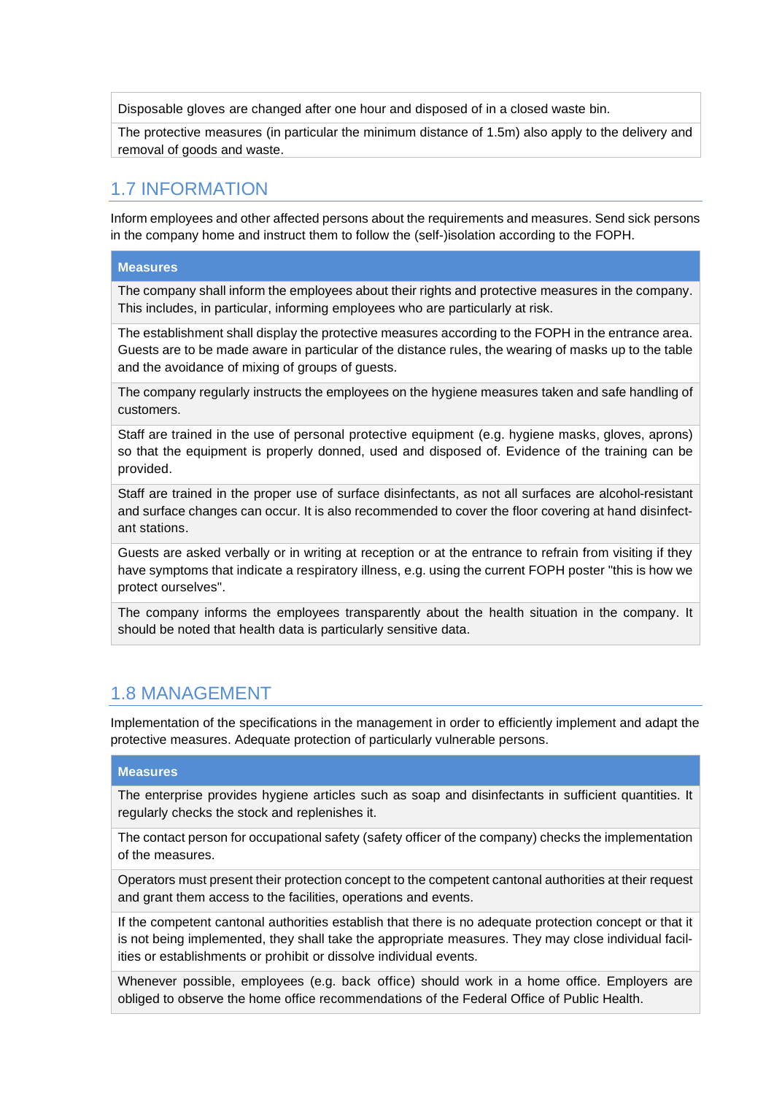Disposable gloves are changed after one hour and disposed of in a closed waste bin.

The protective measures (in particular the minimum distance of 1.5m) also apply to the delivery and removal of goods and waste.

#### <span id="page-4-0"></span>1.7 INFORMATION

Inform employees and other affected persons about the requirements and measures. Send sick persons in the company home and instruct them to follow the (self-)isolation according to the FOPH.

#### **Measures**

The company shall inform the employees about their rights and protective measures in the company. This includes, in particular, informing employees who are particularly at risk.

The establishment shall display the protective measures according to the FOPH in the entrance area. Guests are to be made aware in particular of the distance rules, the wearing of masks up to the table and the avoidance of mixing of groups of guests.

The company regularly instructs the employees on the hygiene measures taken and safe handling of customers.

Staff are trained in the use of personal protective equipment (e.g. hygiene masks, gloves, aprons) so that the equipment is properly donned, used and disposed of. Evidence of the training can be provided.

Staff are trained in the proper use of surface disinfectants, as not all surfaces are alcohol-resistant and surface changes can occur. It is also recommended to cover the floor covering at hand disinfectant stations.

Guests are asked verbally or in writing at reception or at the entrance to refrain from visiting if they have symptoms that indicate a respiratory illness, e.g. using the current FOPH poster "this is how we protect ourselves".

The company informs the employees transparently about the health situation in the company. It should be noted that health data is particularly sensitive data.

#### <span id="page-4-1"></span>1.8 MANAGEMENT

Implementation of the specifications in the management in order to efficiently implement and adapt the protective measures. Adequate protection of particularly vulnerable persons.

#### **Measures**

The enterprise provides hygiene articles such as soap and disinfectants in sufficient quantities. It regularly checks the stock and replenishes it.

The contact person for occupational safety (safety officer of the company) checks the implementation of the measures.

Operators must present their protection concept to the competent cantonal authorities at their request and grant them access to the facilities, operations and events.

If the competent cantonal authorities establish that there is no adequate protection concept or that it is not being implemented, they shall take the appropriate measures. They may close individual facilities or establishments or prohibit or dissolve individual events.

Whenever possible, employees (e.g. back office) should work in a home office. Employers are obliged to observe the home office recommendations of the Federal Office of Public Health.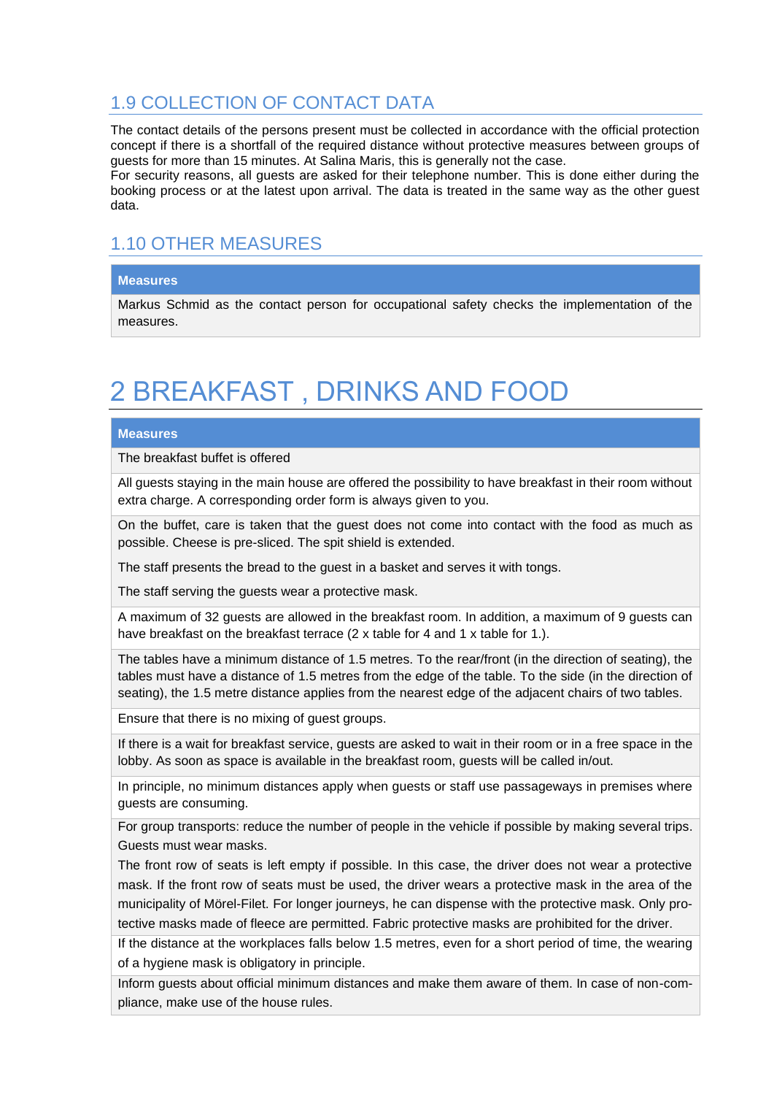## <span id="page-5-0"></span>1.9 COLLECTION OF CONTACT DATA

The contact details of the persons present must be collected in accordance with the official protection concept if there is a shortfall of the required distance without protective measures between groups of guests for more than 15 minutes. At Salina Maris, this is generally not the case.

For security reasons, all guests are asked for their telephone number. This is done either during the booking process or at the latest upon arrival. The data is treated in the same way as the other guest data.

## <span id="page-5-1"></span>1.10 OTHER MEASURES

#### **Measures**

Markus Schmid as the contact person for occupational safety checks the implementation of the measures.

## <span id="page-5-2"></span>2 BREAKFAST , DRINKS AND FOOD

#### **Measures**

The breakfast buffet is offered

All guests staying in the main house are offered the possibility to have breakfast in their room without extra charge. A corresponding order form is always given to you.

On the buffet, care is taken that the guest does not come into contact with the food as much as possible. Cheese is pre-sliced. The spit shield is extended.

The staff presents the bread to the guest in a basket and serves it with tongs.

The staff serving the guests wear a protective mask.

A maximum of 32 guests are allowed in the breakfast room. In addition, a maximum of 9 guests can have breakfast on the breakfast terrace (2 x table for 4 and 1 x table for 1.).

The tables have a minimum distance of 1.5 metres. To the rear/front (in the direction of seating), the tables must have a distance of 1.5 metres from the edge of the table. To the side (in the direction of seating), the 1.5 metre distance applies from the nearest edge of the adjacent chairs of two tables.

Ensure that there is no mixing of guest groups.

If there is a wait for breakfast service, guests are asked to wait in their room or in a free space in the lobby. As soon as space is available in the breakfast room, guests will be called in/out.

In principle, no minimum distances apply when guests or staff use passageways in premises where guests are consuming.

For group transports: reduce the number of people in the vehicle if possible by making several trips. Guests must wear masks.

The front row of seats is left empty if possible. In this case, the driver does not wear a protective mask. If the front row of seats must be used, the driver wears a protective mask in the area of the municipality of Mörel-Filet. For longer journeys, he can dispense with the protective mask. Only protective masks made of fleece are permitted. Fabric protective masks are prohibited for the driver.

If the distance at the workplaces falls below 1.5 metres, even for a short period of time, the wearing of a hygiene mask is obligatory in principle.

Inform guests about official minimum distances and make them aware of them. In case of non-compliance, make use of the house rules.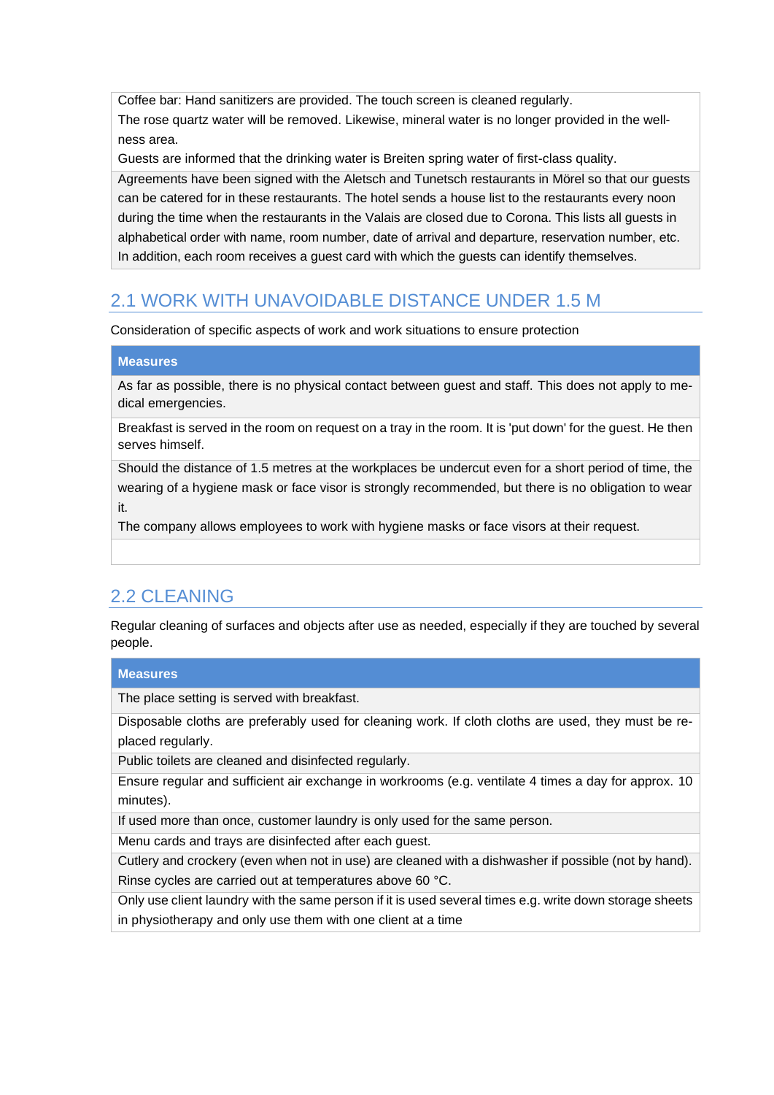Coffee bar: Hand sanitizers are provided. The touch screen is cleaned regularly.

The rose quartz water will be removed. Likewise, mineral water is no longer provided in the wellness area.

Guests are informed that the drinking water is Breiten spring water of first-class quality.

Agreements have been signed with the Aletsch and Tunetsch restaurants in Mörel so that our guests can be catered for in these restaurants. The hotel sends a house list to the restaurants every noon during the time when the restaurants in the Valais are closed due to Corona. This lists all guests in alphabetical order with name, room number, date of arrival and departure, reservation number, etc. In addition, each room receives a guest card with which the guests can identify themselves.

## <span id="page-6-0"></span>2.1 WORK WITH UNAVOIDABLE DISTANCE UNDER 1.5 M

Consideration of specific aspects of work and work situations to ensure protection

#### **Measures**

As far as possible, there is no physical contact between guest and staff. This does not apply to medical emergencies.

Breakfast is served in the room on request on a tray in the room. It is 'put down' for the guest. He then serves himself.

Should the distance of 1.5 metres at the workplaces be undercut even for a short period of time, the wearing of a hygiene mask or face visor is strongly recommended, but there is no obligation to wear it.

The company allows employees to work with hygiene masks or face visors at their request.

## <span id="page-6-1"></span>2.2 CLEANING

Regular cleaning of surfaces and objects after use as needed, especially if they are touched by several people.

#### **Measures**

The place setting is served with breakfast.

Disposable cloths are preferably used for cleaning work. If cloth cloths are used, they must be replaced regularly.

Public toilets are cleaned and disinfected regularly.

Ensure regular and sufficient air exchange in workrooms (e.g. ventilate 4 times a day for approx. 10 minutes).

If used more than once, customer laundry is only used for the same person.

Menu cards and trays are disinfected after each guest.

Cutlery and crockery (even when not in use) are cleaned with a dishwasher if possible (not by hand). Rinse cycles are carried out at temperatures above 60 °C.

Only use client laundry with the same person if it is used several times e.g. write down storage sheets in physiotherapy and only use them with one client at a time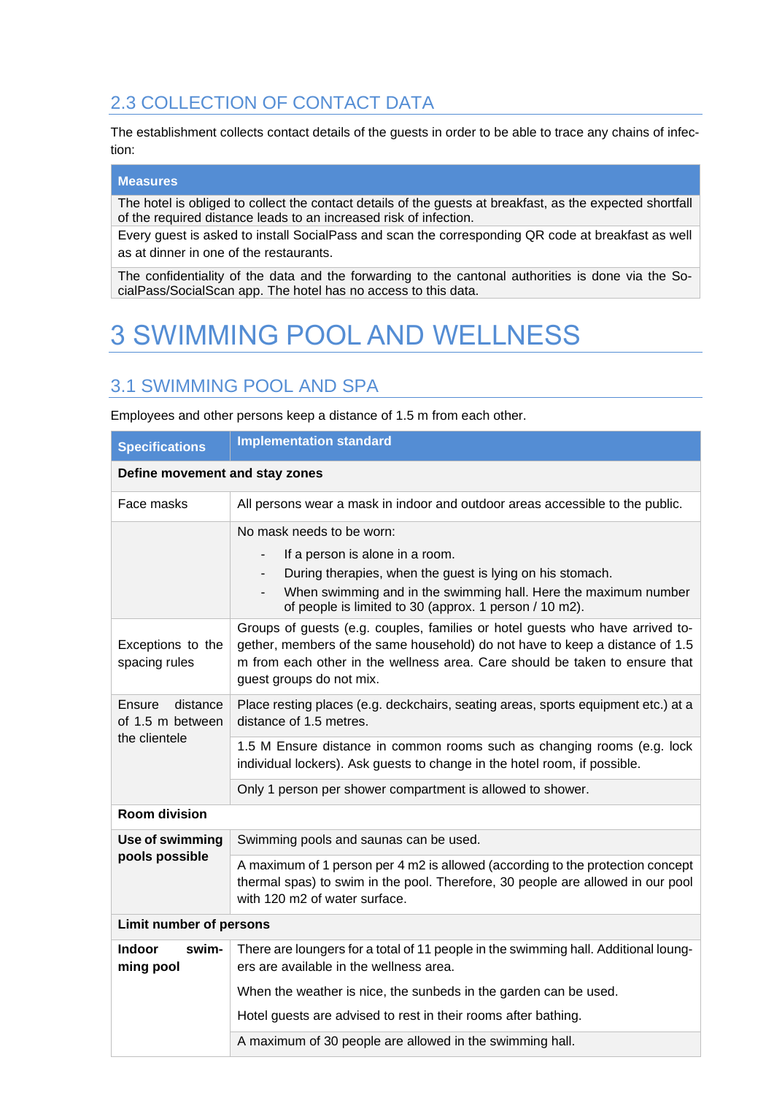## <span id="page-7-0"></span>2.3 COLLECTION OF CONTACT DATA

The establishment collects contact details of the guests in order to be able to trace any chains of infection:

#### **Measures**

The hotel is obliged to collect the contact details of the guests at breakfast, as the expected shortfall of the required distance leads to an increased risk of infection.

Every guest is asked to install SocialPass and scan the corresponding QR code at breakfast as well as at dinner in one of the restaurants.

The confidentiality of the data and the forwarding to the cantonal authorities is done via the SocialPass/SocialScan app. The hotel has no access to this data.

# <span id="page-7-1"></span>3 SWIMMING POOL AND WELLNESS

## <span id="page-7-2"></span>3.1 SWIMMING POOL AND SPA

Employees and other persons keep a distance of 1.5 m from each other.

| <b>Specifications</b>                                   | <b>Implementation standard</b>                                                                                                                                                                                                                                           |
|---------------------------------------------------------|--------------------------------------------------------------------------------------------------------------------------------------------------------------------------------------------------------------------------------------------------------------------------|
| Define movement and stay zones                          |                                                                                                                                                                                                                                                                          |
| Face masks                                              | All persons wear a mask in indoor and outdoor areas accessible to the public.                                                                                                                                                                                            |
|                                                         | No mask needs to be worn:<br>If a person is alone in a room.<br>$\overline{\phantom{0}}$                                                                                                                                                                                 |
|                                                         | During therapies, when the guest is lying on his stomach.<br>$\overline{\phantom{0}}$<br>When swimming and in the swimming hall. Here the maximum number<br>$\overline{\phantom{0}}$<br>of people is limited to 30 (approx. 1 person / 10 m2).                           |
| Exceptions to the<br>spacing rules                      | Groups of guests (e.g. couples, families or hotel guests who have arrived to-<br>gether, members of the same household) do not have to keep a distance of 1.5<br>m from each other in the wellness area. Care should be taken to ensure that<br>guest groups do not mix. |
| Ensure<br>distance<br>of 1.5 m between<br>the clientele | Place resting places (e.g. deckchairs, seating areas, sports equipment etc.) at a<br>distance of 1.5 metres.                                                                                                                                                             |
|                                                         | 1.5 M Ensure distance in common rooms such as changing rooms (e.g. lock<br>individual lockers). Ask guests to change in the hotel room, if possible.                                                                                                                     |
|                                                         | Only 1 person per shower compartment is allowed to shower.                                                                                                                                                                                                               |
| <b>Room division</b>                                    |                                                                                                                                                                                                                                                                          |
| Use of swimming                                         | Swimming pools and saunas can be used.                                                                                                                                                                                                                                   |
| pools possible                                          | A maximum of 1 person per 4 m2 is allowed (according to the protection concept<br>thermal spas) to swim in the pool. Therefore, 30 people are allowed in our pool<br>with 120 m2 of water surface.                                                                       |
| Limit number of persons                                 |                                                                                                                                                                                                                                                                          |
| <b>Indoor</b><br>swim-<br>ming pool                     | There are loungers for a total of 11 people in the swimming hall. Additional loung-<br>ers are available in the wellness area.                                                                                                                                           |
|                                                         | When the weather is nice, the sunbeds in the garden can be used.                                                                                                                                                                                                         |
|                                                         | Hotel guests are advised to rest in their rooms after bathing.                                                                                                                                                                                                           |
|                                                         | A maximum of 30 people are allowed in the swimming hall.                                                                                                                                                                                                                 |